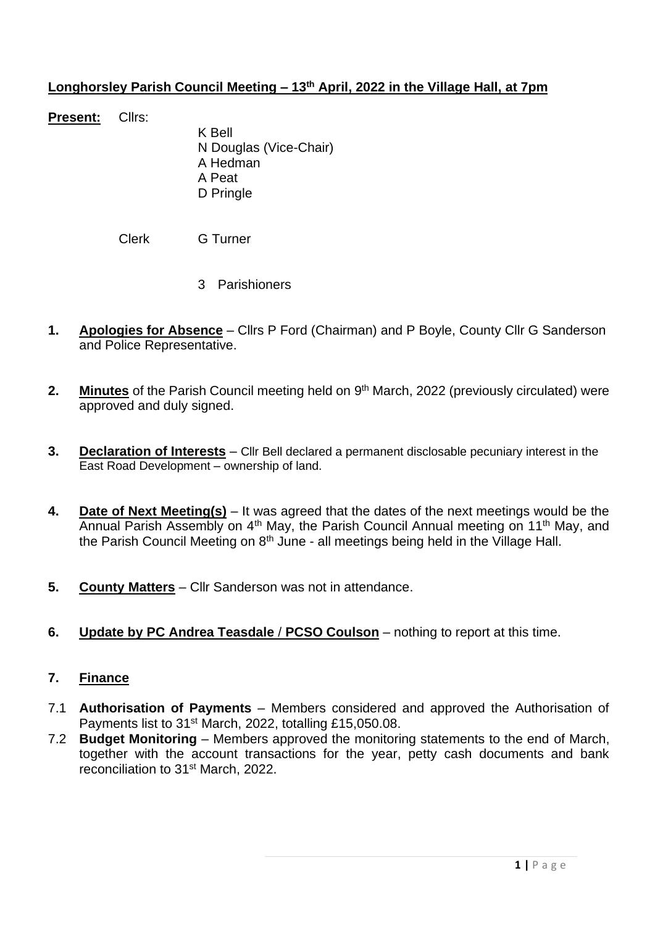### **Longhorsley Parish Council Meeting – 13th April, 2022 in the Village Hall, at 7pm**

**Present:** Cllrs:

K Bell N Douglas (Vice-Chair) A Hedman A Peat D Pringle

Clerk G Turner

- 3 Parishioners
- **1. Apologies for Absence** Cllrs P Ford (Chairman) and P Boyle, County Cllr G Sanderson and Police Representative.
- 2. Minutes of the Parish Council meeting held on 9<sup>th</sup> March, 2022 (previously circulated) were approved and duly signed.
- **3. Declaration of Interests** Cllr Bell declared a permanent disclosable pecuniary interest in the East Road Development – ownership of land.
- **4. Date of Next Meeting(s)** It was agreed that the dates of the next meetings would be the Annual Parish Assembly on 4th May, the Parish Council Annual meeting on 11th May, and the Parish Council Meeting on  $8<sup>th</sup>$  June - all meetings being held in the Village Hall.
- **5. County Matters** Cllr Sanderson was not in attendance.
- **6. Update by PC Andrea Teasdale** / **PCSO Coulson** nothing to report at this time.

### **7. Finance**

- 7.1 **Authorisation of Payments** Members considered and approved the Authorisation of Payments list to 31<sup>st</sup> March, 2022, totalling £15,050.08.
- 7.2 **Budget Monitoring** Members approved the monitoring statements to the end of March, together with the account transactions for the year, petty cash documents and bank reconciliation to 31st March, 2022.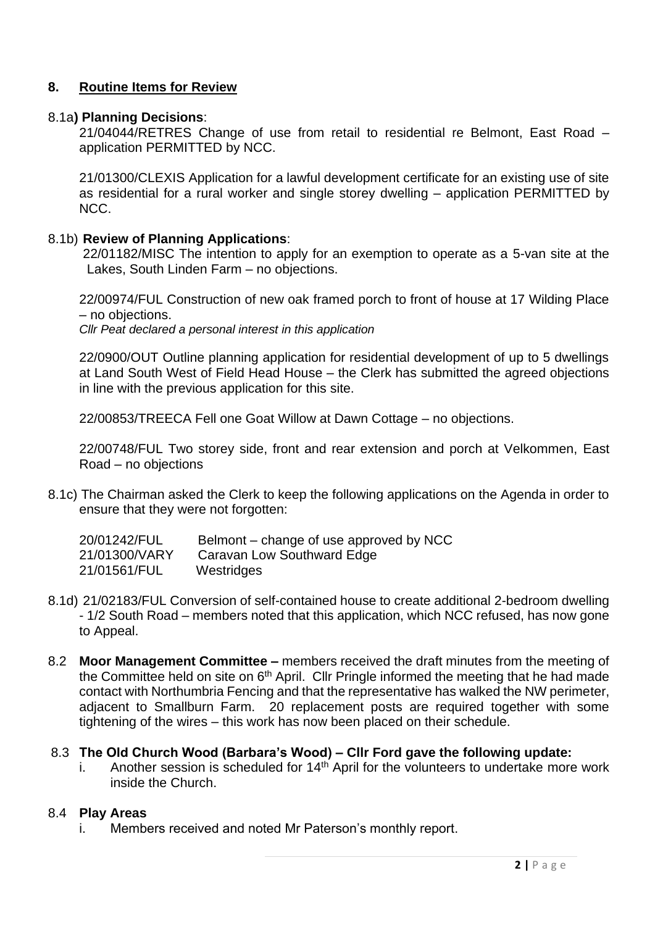### **8. Routine Items for Review**

#### 8.1a**) Planning Decisions**:

21/04044/RETRES Change of use from retail to residential re Belmont, East Road – application PERMITTED by NCC.

21/01300/CLEXIS Application for a lawful development certificate for an existing use of site as residential for a rural worker and single storey dwelling – application PERMITTED by NCC.

#### 8.1b) **Review of Planning Applications**:

22/01182/MISC The intention to apply for an exemption to operate as a 5-van site at the Lakes, South Linden Farm – no objections.

22/00974/FUL Construction of new oak framed porch to front of house at 17 Wilding Place – no objections.

*Cllr Peat declared a personal interest in this application*

22/0900/OUT Outline planning application for residential development of up to 5 dwellings at Land South West of Field Head House – the Clerk has submitted the agreed objections in line with the previous application for this site.

22/00853/TREECA Fell one Goat Willow at Dawn Cottage – no objections.

22/00748/FUL Two storey side, front and rear extension and porch at Velkommen, East Road – no objections

8.1c) The Chairman asked the Clerk to keep the following applications on the Agenda in order to ensure that they were not forgotten:

| 20/01242/FUL  | Belmont – change of use approved by NCC |
|---------------|-----------------------------------------|
| 21/01300/VARY | Caravan Low Southward Edge              |
| 21/01561/FUL  | Westridges                              |

- 8.1d) 21/02183/FUL Conversion of self-contained house to create additional 2-bedroom dwelling - 1/2 South Road – members noted that this application, which NCC refused, has now gone to Appeal.
- 8.2 **Moor Management Committee –** members received the draft minutes from the meeting of the Committee held on site on 6<sup>th</sup> April. Cllr Pringle informed the meeting that he had made contact with Northumbria Fencing and that the representative has walked the NW perimeter, adjacent to Smallburn Farm. 20 replacement posts are required together with some tightening of the wires – this work has now been placed on their schedule.

### 8.3 **The Old Church Wood (Barbara's Wood) – Cllr Ford gave the following update:**

i. Another session is scheduled for  $14<sup>th</sup>$  April for the volunteers to undertake more work inside the Church.

#### 8.4 **Play Areas**

i. Members received and noted Mr Paterson's monthly report.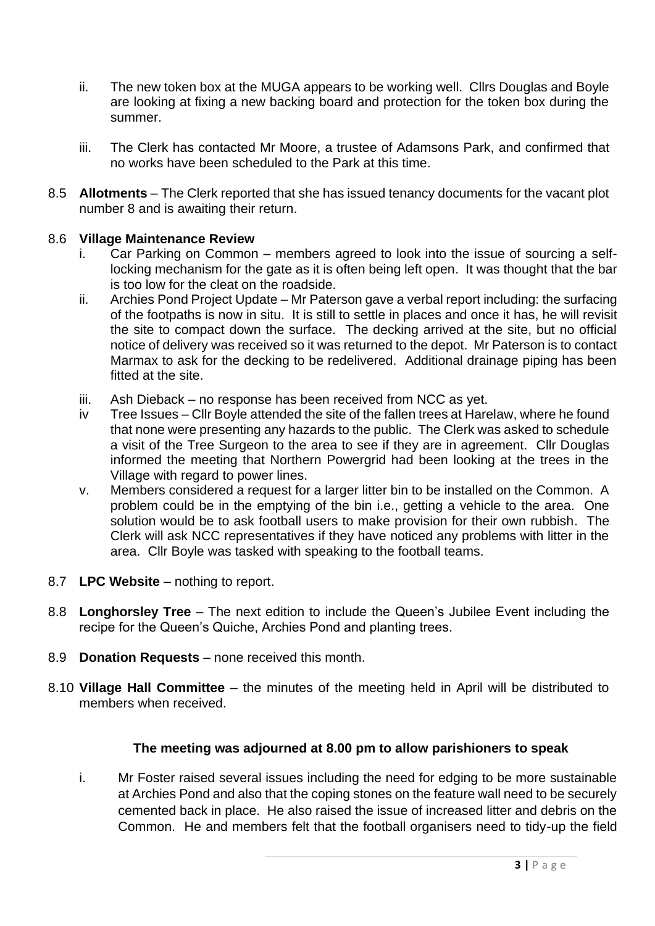- ii. The new token box at the MUGA appears to be working well. Cllrs Douglas and Boyle are looking at fixing a new backing board and protection for the token box during the summer.
- iii. The Clerk has contacted Mr Moore, a trustee of Adamsons Park, and confirmed that no works have been scheduled to the Park at this time.
- 8.5 **Allotments** The Clerk reported that she has issued tenancy documents for the vacant plot number 8 and is awaiting their return.

# 8.6 **Village Maintenance Review**

- i. Car Parking on Common members agreed to look into the issue of sourcing a selflocking mechanism for the gate as it is often being left open. It was thought that the bar is too low for the cleat on the roadside.
- ii. Archies Pond Project Update Mr Paterson gave a verbal report including: the surfacing of the footpaths is now in situ. It is still to settle in places and once it has, he will revisit the site to compact down the surface. The decking arrived at the site, but no official notice of delivery was received so it was returned to the depot. Mr Paterson is to contact Marmax to ask for the decking to be redelivered. Additional drainage piping has been fitted at the site.
- iii. Ash Dieback no response has been received from NCC as yet.
- iv Tree Issues Cllr Boyle attended the site of the fallen trees at Harelaw, where he found that none were presenting any hazards to the public. The Clerk was asked to schedule a visit of the Tree Surgeon to the area to see if they are in agreement. Cllr Douglas informed the meeting that Northern Powergrid had been looking at the trees in the Village with regard to power lines.
- v. Members considered a request for a larger litter bin to be installed on the Common. A problem could be in the emptying of the bin i.e., getting a vehicle to the area. One solution would be to ask football users to make provision for their own rubbish. The Clerk will ask NCC representatives if they have noticed any problems with litter in the area. Cllr Boyle was tasked with speaking to the football teams.
- 8.7 **LPC Website** nothing to report.
- 8.8 **Longhorsley Tree** The next edition to include the Queen's Jubilee Event including the recipe for the Queen's Quiche, Archies Pond and planting trees.
- 8.9 **Donation Requests** none received this month.
- 8.10 **Village Hall Committee** the minutes of the meeting held in April will be distributed to members when received.

### **The meeting was adjourned at 8.00 pm to allow parishioners to speak**

i. Mr Foster raised several issues including the need for edging to be more sustainable at Archies Pond and also that the coping stones on the feature wall need to be securely cemented back in place. He also raised the issue of increased litter and debris on the Common. He and members felt that the football organisers need to tidy-up the field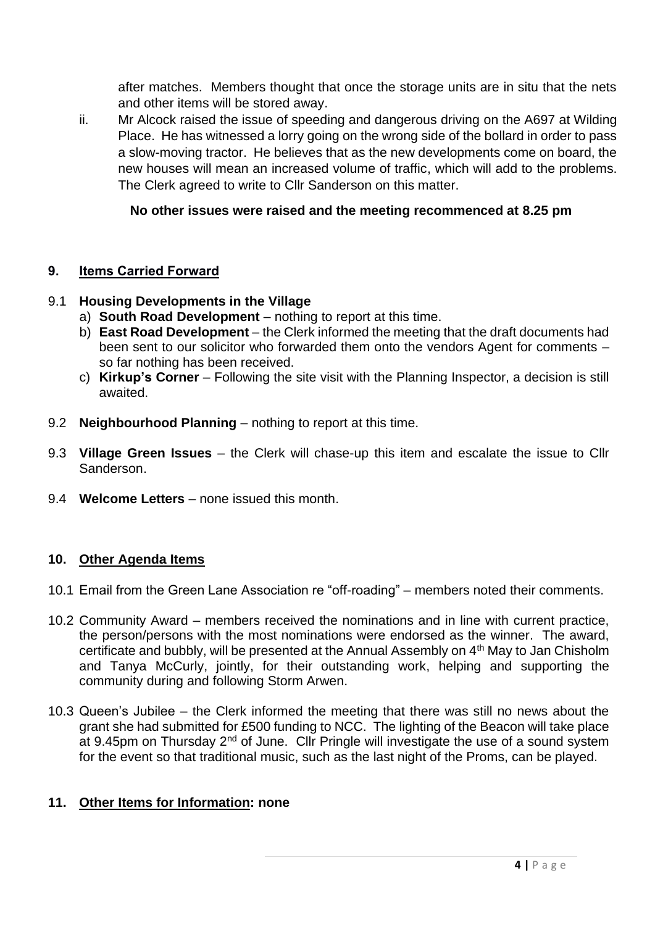after matches. Members thought that once the storage units are in situ that the nets and other items will be stored away.

ii. Mr Alcock raised the issue of speeding and dangerous driving on the A697 at Wilding Place. He has witnessed a lorry going on the wrong side of the bollard in order to pass a slow-moving tractor. He believes that as the new developments come on board, the new houses will mean an increased volume of traffic, which will add to the problems. The Clerk agreed to write to Cllr Sanderson on this matter.

# **No other issues were raised and the meeting recommenced at 8.25 pm**

### **9. Items Carried Forward**

### 9.1 **Housing Developments in the Village**

- a) **South Road Development** nothing to report at this time.
- b) **East Road Development** the Clerk informed the meeting that the draft documents had been sent to our solicitor who forwarded them onto the vendors Agent for comments – so far nothing has been received.
- c) **Kirkup's Corner** Following the site visit with the Planning Inspector, a decision is still awaited.
- 9.2 **Neighbourhood Planning** nothing to report at this time.
- 9.3 **Village Green Issues** the Clerk will chase-up this item and escalate the issue to Cllr Sanderson.
- 9.4 **Welcome Letters** none issued this month.

# **10. Other Agenda Items**

- 10.1 Email from the Green Lane Association re "off-roading" members noted their comments.
- 10.2 Community Award members received the nominations and in line with current practice, the person/persons with the most nominations were endorsed as the winner. The award, certificate and bubbly, will be presented at the Annual Assembly on 4th May to Jan Chisholm and Tanya McCurly, jointly, for their outstanding work, helping and supporting the community during and following Storm Arwen.
- 10.3 Queen's Jubilee the Clerk informed the meeting that there was still no news about the grant she had submitted for £500 funding to NCC. The lighting of the Beacon will take place at 9.45pm on Thursday  $2^{nd}$  of June. Cllr Pringle will investigate the use of a sound system for the event so that traditional music, such as the last night of the Proms, can be played.

# **11. Other Items for Information: none**